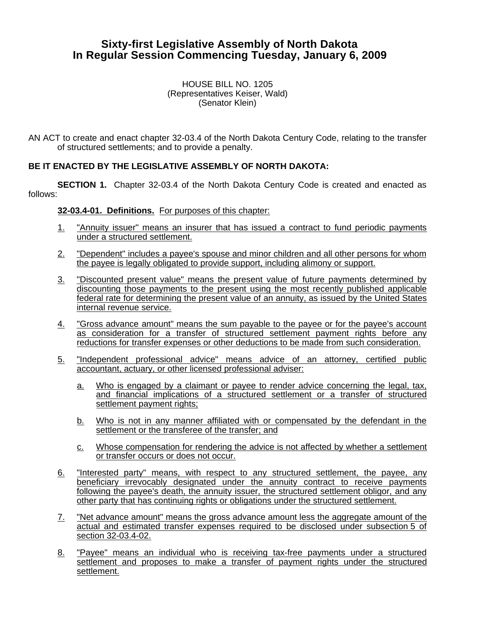# **Sixty-first Legislative Assembly of North Dakota In Regular Session Commencing Tuesday, January 6, 2009**

#### HOUSE BILL NO. 1205 (Representatives Keiser, Wald) (Senator Klein)

AN ACT to create and enact chapter 32-03.4 of the North Dakota Century Code, relating to the transfer of structured settlements; and to provide a penalty.

## **BE IT ENACTED BY THE LEGISLATIVE ASSEMBLY OF NORTH DAKOTA:**

**SECTION 1.** Chapter 32-03.4 of the North Dakota Century Code is created and enacted as follows:

#### **32-03.4-01. Definitions.** For purposes of this chapter:

- 1. "Annuity issuer" means an insurer that has issued a contract to fund periodic payments under a structured settlement.
- 2. "Dependent" includes a payee's spouse and minor children and all other persons for whom the payee is legally obligated to provide support, including alimony or support.
- 3. "Discounted present value" means the present value of future payments determined by discounting those payments to the present using the most recently published applicable federal rate for determining the present value of an annuity, as issued by the United States internal revenue service.
- 4. "Gross advance amount" means the sum payable to the payee or for the payee's account as consideration for a transfer of structured settlement payment rights before any reductions for transfer expenses or other deductions to be made from such consideration.
- 5. "Independent professional advice" means advice of an attorney, certified public accountant, actuary, or other licensed professional adviser:
	- a. Who is engaged by a claimant or payee to render advice concerning the legal, tax, and financial implications of a structured settlement or a transfer of structured settlement payment rights;
	- b. Who is not in any manner affiliated with or compensated by the defendant in the settlement or the transferee of the transfer; and
	- c. Whose compensation for rendering the advice is not affected by whether a settlement or transfer occurs or does not occur.
- 6. "Interested party" means, with respect to any structured settlement, the payee, any beneficiary irrevocably designated under the annuity contract to receive payments following the payee's death, the annuity issuer, the structured settlement obligor, and any other party that has continuing rights or obligations under the structured settlement.
- 7. "Net advance amount" means the gross advance amount less the aggregate amount of the actual and estimated transfer expenses required to be disclosed under subsection 5 of section 32-03.4-02.
- 8. "Payee" means an individual who is receiving tax-free payments under a structured settlement and proposes to make a transfer of payment rights under the structured settlement.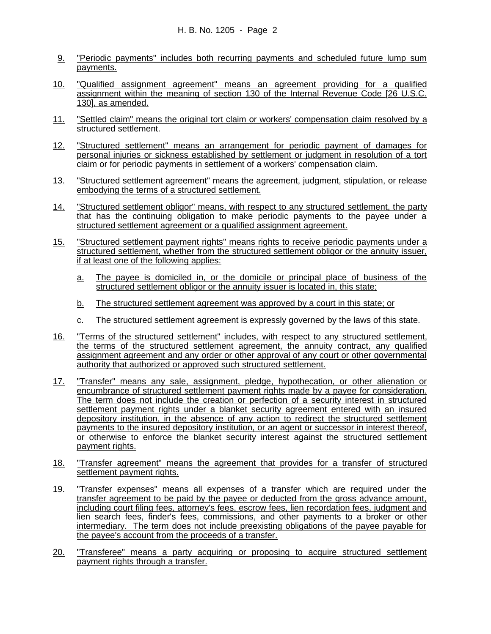- 9. "Periodic payments" includes both recurring payments and scheduled future lump sum payments.
- 10. "Qualified assignment agreement" means an agreement providing for a qualified assignment within the meaning of section 130 of the Internal Revenue Code [26 U.S.C. 130], as amended.
- 11. "Settled claim" means the original tort claim or workers' compensation claim resolved by a structured settlement.
- 12. "Structured settlement" means an arrangement for periodic payment of damages for personal injuries or sickness established by settlement or judgment in resolution of a tort claim or for periodic payments in settlement of a workers' compensation claim.
- 13. "Structured settlement agreement" means the agreement, judgment, stipulation, or release embodying the terms of a structured settlement.
- 14. "Structured settlement obligor" means, with respect to any structured settlement, the party that has the continuing obligation to make periodic payments to the payee under a structured settlement agreement or a qualified assignment agreement.
- 15. "Structured settlement payment rights" means rights to receive periodic payments under a structured settlement, whether from the structured settlement obligor or the annuity issuer, if at least one of the following applies:
	- a. The payee is domiciled in, or the domicile or principal place of business of the structured settlement obligor or the annuity issuer is located in, this state;
	- b. The structured settlement agreement was approved by a court in this state; or
	- c. The structured settlement agreement is expressly governed by the laws of this state.
- 16. "Terms of the structured settlement" includes, with respect to any structured settlement, the terms of the structured settlement agreement, the annuity contract, any qualified assignment agreement and any order or other approval of any court or other governmental authority that authorized or approved such structured settlement.
- 17. "Transfer" means any sale, assignment, pledge, hypothecation, or other alienation or encumbrance of structured settlement payment rights made by a payee for consideration. The term does not include the creation or perfection of a security interest in structured settlement payment rights under a blanket security agreement entered with an insured depository institution, in the absence of any action to redirect the structured settlement payments to the insured depository institution, or an agent or successor in interest thereof, or otherwise to enforce the blanket security interest against the structured settlement payment rights.
- 18. "Transfer agreement" means the agreement that provides for a transfer of structured settlement payment rights.
- 19. "Transfer expenses" means all expenses of a transfer which are required under the transfer agreement to be paid by the payee or deducted from the gross advance amount, including court filing fees, attorney's fees, escrow fees, lien recordation fees, judgment and lien search fees, finder's fees, commissions, and other payments to a broker or other intermediary. The term does not include preexisting obligations of the payee payable for the payee's account from the proceeds of a transfer.
- 20. "Transferee" means a party acquiring or proposing to acquire structured settlement payment rights through a transfer.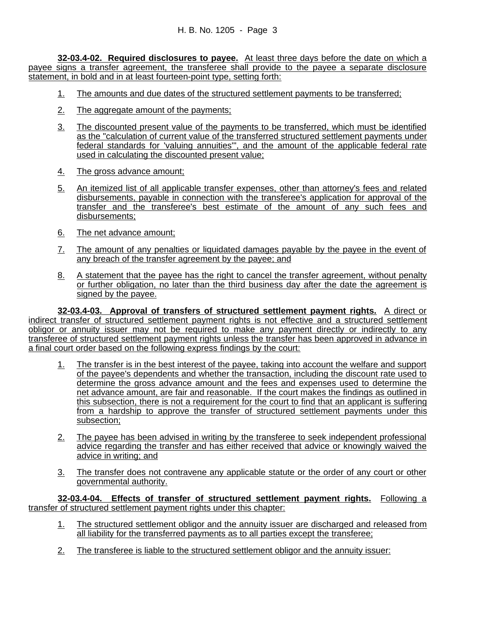**32-03.4-02. Required disclosures to payee.** At least three days before the date on which a payee signs a transfer agreement, the transferee shall provide to the payee a separate disclosure statement, in bold and in at least fourteen-point type, setting forth:

- 1. The amounts and due dates of the structured settlement payments to be transferred;
- 2. The aggregate amount of the payments;
- 3. The discounted present value of the payments to be transferred, which must be identified as the "calculation of current value of the transferred structured settlement payments under federal standards for 'valuing annuities'", and the amount of the applicable federal rate used in calculating the discounted present value;
- 4. The gross advance amount;
- 5. An itemized list of all applicable transfer expenses, other than attorney's fees and related disbursements, payable in connection with the transferee's application for approval of the transfer and the transferee's best estimate of the amount of any such fees and disbursements;
- 6. The net advance amount;
- 7. The amount of any penalties or liquidated damages payable by the payee in the event of any breach of the transfer agreement by the payee; and
- 8. A statement that the payee has the right to cancel the transfer agreement, without penalty or further obligation, no later than the third business day after the date the agreement is signed by the payee.

**32-03.4-03. Approval of transfers of structured settlement payment rights.** A direct or indirect transfer of structured settlement payment rights is not effective and a structured settlement obligor or annuity issuer may not be required to make any payment directly or indirectly to any transferee of structured settlement payment rights unless the transfer has been approved in advance in a final court order based on the following express findings by the court:

- 1. The transfer is in the best interest of the payee, taking into account the welfare and support of the payee's dependents and whether the transaction, including the discount rate used to determine the gross advance amount and the fees and expenses used to determine the net advance amount, are fair and reasonable. If the court makes the findings as outlined in this subsection, there is not a requirement for the court to find that an applicant is suffering from a hardship to approve the transfer of structured settlement payments under this subsection;
- 2. The payee has been advised in writing by the transferee to seek independent professional advice regarding the transfer and has either received that advice or knowingly waived the advice in writing; and
- 3. The transfer does not contravene any applicable statute or the order of any court or other governmental authority.

**32-03.4-04. Effects of transfer of structured settlement payment rights.** Following a transfer of structured settlement payment rights under this chapter:

- 1. The structured settlement obligor and the annuity issuer are discharged and released from all liability for the transferred payments as to all parties except the transferee;
- 2. The transferee is liable to the structured settlement obligor and the annuity issuer: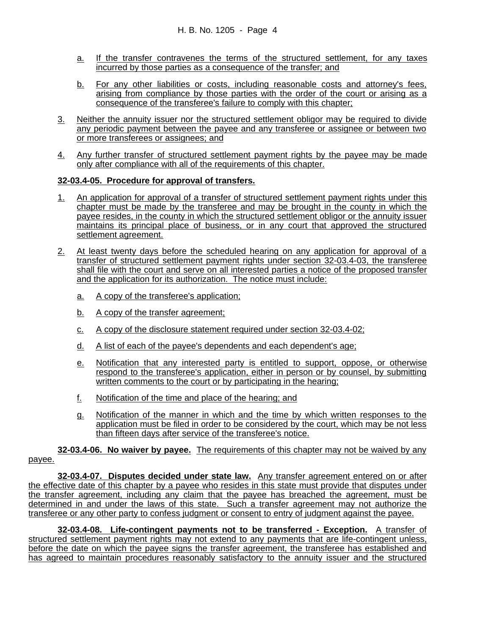- a. If the transfer contravenes the terms of the structured settlement, for any taxes incurred by those parties as a consequence of the transfer; and
- b. For any other liabilities or costs, including reasonable costs and attorney's fees, arising from compliance by those parties with the order of the court or arising as a consequence of the transferee's failure to comply with this chapter;
- 3. Neither the annuity issuer nor the structured settlement obligor may be required to divide any periodic payment between the payee and any transferee or assignee or between two or more transferees or assignees; and
- 4. Any further transfer of structured settlement payment rights by the payee may be made only after compliance with all of the requirements of this chapter.

## **32-03.4-05. Procedure for approval of transfers.**

- 1. An application for approval of a transfer of structured settlement payment rights under this chapter must be made by the transferee and may be brought in the county in which the payee resides, in the county in which the structured settlement obligor or the annuity issuer maintains its principal place of business, or in any court that approved the structured settlement agreement.
- 2. At least twenty days before the scheduled hearing on any application for approval of a transfer of structured settlement payment rights under section 32-03.4-03, the transferee shall file with the court and serve on all interested parties a notice of the proposed transfer and the application for its authorization. The notice must include:
	- a. A copy of the transferee's application;
	- b. A copy of the transfer agreement;
	- c. A copy of the disclosure statement required under section 32-03.4-02;
	- d. A list of each of the payee's dependents and each dependent's age;
	- e. Notification that any interested party is entitled to support, oppose, or otherwise respond to the transferee's application, either in person or by counsel, by submitting written comments to the court or by participating in the hearing;
	- f. Notification of the time and place of the hearing; and
	- g. Notification of the manner in which and the time by which written responses to the application must be filed in order to be considered by the court, which may be not less than fifteen days after service of the transferee's notice.

**32-03.4-06. No waiver by payee.** The requirements of this chapter may not be waived by any payee.

**32-03.4-07. Disputes decided under state law.** Any transfer agreement entered on or after the effective date of this chapter by a payee who resides in this state must provide that disputes under the transfer agreement, including any claim that the payee has breached the agreement, must be determined in and under the laws of this state. Such a transfer agreement may not authorize the transferee or any other party to confess judgment or consent to entry of judgment against the payee.

**32-03.4-08. Life-contingent payments not to be transferred - Exception.** A transfer of structured settlement payment rights may not extend to any payments that are life-contingent unless, before the date on which the payee signs the transfer agreement, the transferee has established and has agreed to maintain procedures reasonably satisfactory to the annuity issuer and the structured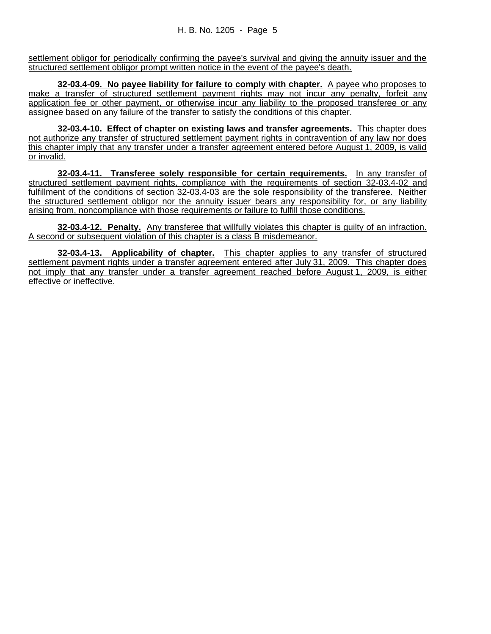settlement obligor for periodically confirming the payee's survival and giving the annuity issuer and the structured settlement obligor prompt written notice in the event of the payee's death.

**32-03.4-09. No payee liability for failure to comply with chapter.** A payee who proposes to make a transfer of structured settlement payment rights may not incur any penalty, forfeit any application fee or other payment, or otherwise incur any liability to the proposed transferee or any assignee based on any failure of the transfer to satisfy the conditions of this chapter.

**32-03.4-10. Effect of chapter on existing laws and transfer agreements.** This chapter does not authorize any transfer of structured settlement payment rights in contravention of any law nor does this chapter imply that any transfer under a transfer agreement entered before August 1, 2009, is valid or invalid.

**32-03.4-11. Transferee solely responsible for certain requirements.** In any transfer of structured settlement payment rights, compliance with the requirements of section 32-03.4-02 and fulfillment of the conditions of section 32-03.4-03 are the sole responsibility of the transferee. Neither the structured settlement obligor nor the annuity issuer bears any responsibility for, or any liability arising from, noncompliance with those requirements or failure to fulfill those conditions.

**32-03.4-12. Penalty.** Any transferee that willfully violates this chapter is guilty of an infraction. A second or subsequent violation of this chapter is a class B misdemeanor.

**32-03.4-13. Applicability of chapter.** This chapter applies to any transfer of structured settlement payment rights under a transfer agreement entered after July 31, 2009. This chapter does not imply that any transfer under a transfer agreement reached before August 1, 2009, is either effective or ineffective.